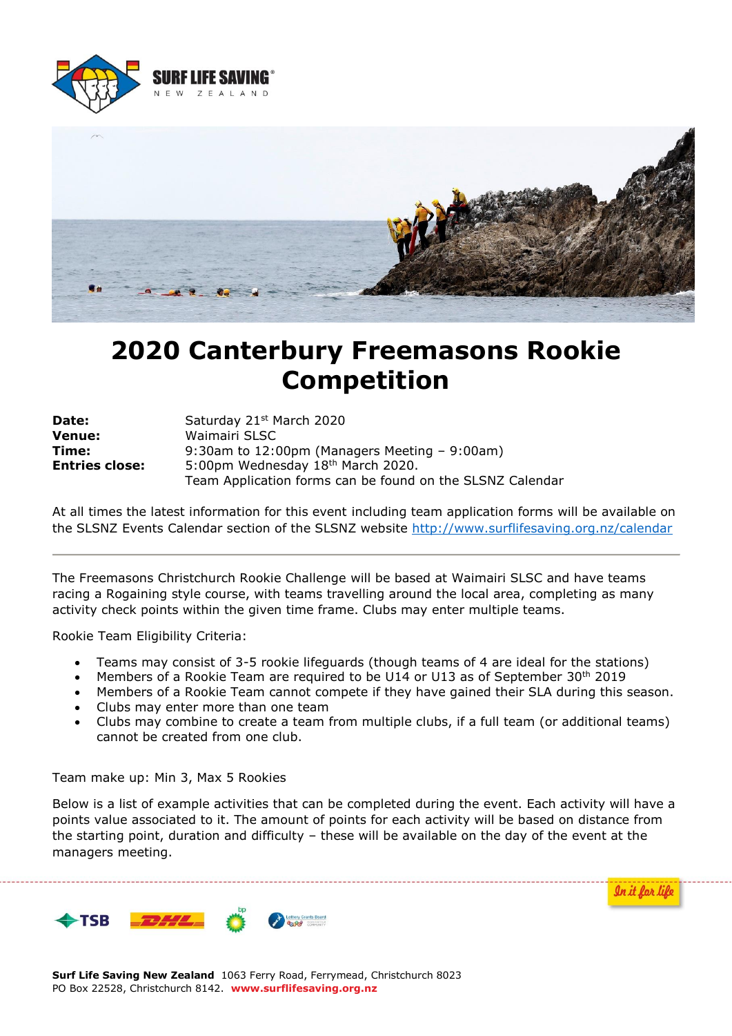



# **2020 Canterbury Freemasons Rookie Competition**

| Date:                 | Saturday 21st March 2020                                  |  |
|-----------------------|-----------------------------------------------------------|--|
| <b>Venue:</b>         | Waimairi SLSC                                             |  |
| Time:                 | 9:30am to 12:00pm (Managers Meeting $-$ 9:00am)           |  |
| <b>Entries close:</b> | 5:00pm Wednesday 18th March 2020.                         |  |
|                       | Team Application forms can be found on the SLSNZ Calendar |  |

At all times the latest information for this event including team application forms will be available on the SLSNZ Events Calendar section of the SLSNZ website<http://www.surflifesaving.org.nz/calendar>

The Freemasons Christchurch Rookie Challenge will be based at Waimairi SLSC and have teams racing a Rogaining style course, with teams travelling around the local area, completing as many activity check points within the given time frame. Clubs may enter multiple teams.

Rookie Team Eligibility Criteria:

- Teams may consist of 3-5 rookie lifeguards (though teams of 4 are ideal for the stations)
- Members of a Rookie Team are required to be U14 or U13 as of September 30<sup>th</sup> 2019
- Members of a Rookie Team cannot compete if they have gained their SLA during this season.
- Clubs may enter more than one team
- Clubs may combine to create a team from multiple clubs, if a full team (or additional teams) cannot be created from one club.

Team make up: Min 3, Max 5 Rookies

Below is a list of example activities that can be completed during the event. Each activity will have a points value associated to it. The amount of points for each activity will be based on distance from the starting point, duration and difficulty – these will be available on the day of the event at the managers meeting.

In it for life

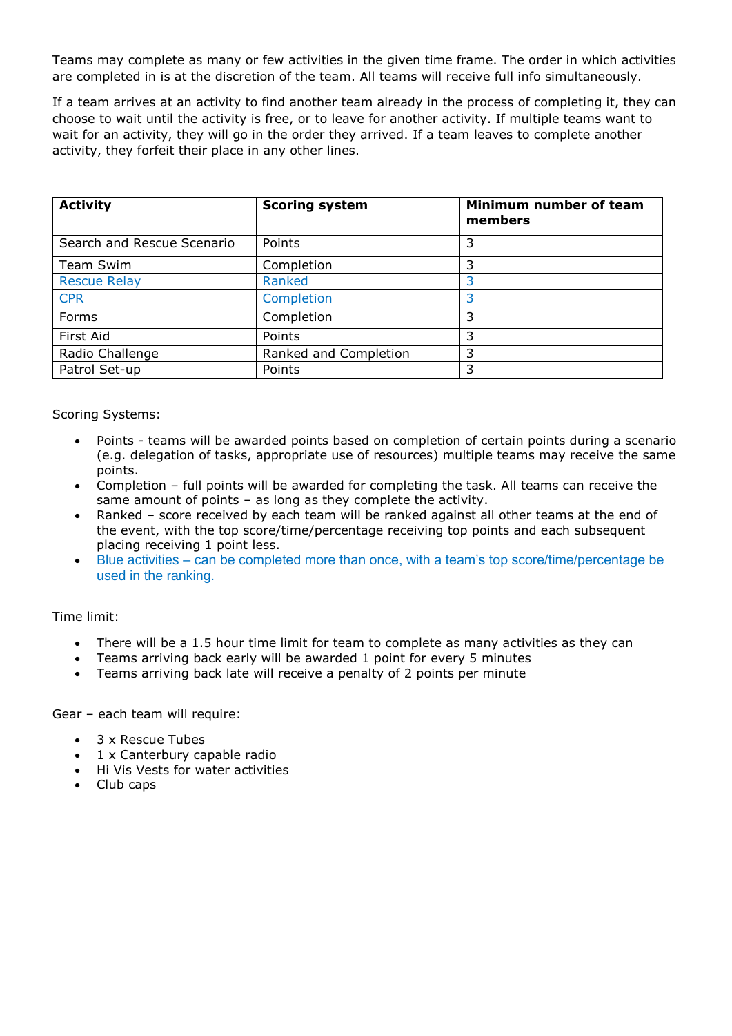Teams may complete as many or few activities in the given time frame. The order in which activities are completed in is at the discretion of the team. All teams will receive full info simultaneously.

If a team arrives at an activity to find another team already in the process of completing it, they can choose to wait until the activity is free, or to leave for another activity. If multiple teams want to wait for an activity, they will go in the order they arrived. If a team leaves to complete another activity, they forfeit their place in any other lines.

| <b>Activity</b>            | <b>Scoring system</b> | Minimum number of team<br>members |
|----------------------------|-----------------------|-----------------------------------|
| Search and Rescue Scenario | Points                | 3                                 |
| Team Swim                  | Completion            | 3                                 |
| <b>Rescue Relay</b>        | Ranked                | 3                                 |
| <b>CPR</b>                 | Completion            | 3                                 |
| Forms                      | Completion            | 3                                 |
| First Aid                  | Points                | 3                                 |
| Radio Challenge            | Ranked and Completion | 3                                 |
| Patrol Set-up              | Points                | 3                                 |

#### Scoring Systems:

- Points teams will be awarded points based on completion of certain points during a scenario (e.g. delegation of tasks, appropriate use of resources) multiple teams may receive the same points.
- Completion full points will be awarded for completing the task. All teams can receive the same amount of points – as long as they complete the activity.
- Ranked score received by each team will be ranked against all other teams at the end of the event, with the top score/time/percentage receiving top points and each subsequent placing receiving 1 point less.
- Blue activities can be completed more than once, with a team's top score/time/percentage be used in the ranking.

### Time limit:

- There will be a 1.5 hour time limit for team to complete as many activities as they can
- Teams arriving back early will be awarded 1 point for every 5 minutes
- Teams arriving back late will receive a penalty of 2 points per minute

#### Gear – each team will require:

- 3 x Rescue Tubes
- 1 x Canterbury capable radio
- Hi Vis Vests for water activities
- Club caps